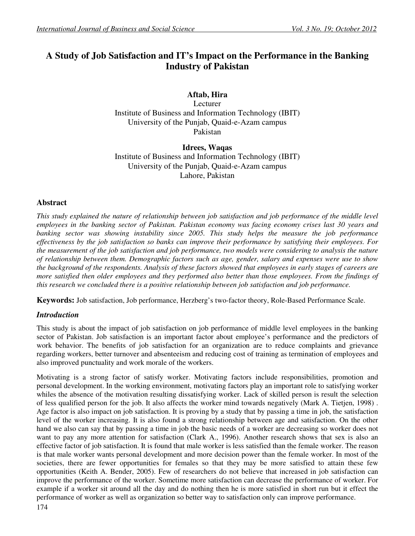# **A Study of Job Satisfaction and IT's Impact on the Performance in the Banking Industry of Pakistan**

# **Aftab, Hira**

Lecturer Institute of Business and Information Technology (IBIT) University of the Punjab, Quaid-e-Azam campus Pakistan

**Idrees, Waqas**  Institute of Business and Information Technology (IBIT) University of the Punjab, Quaid-e-Azam campus Lahore, Pakistan

# **Abstract**

*This study explained the nature of relationship between job satisfaction and job performance of the middle level employees in the banking sector of Pakistan. Pakistan economy was facing economy crises last 30 years and banking sector was showing instability since 2005. This study helps the measure the job performance effectiveness by the job satisfaction so banks can improve their performance by satisfying their employees. For the measurement of the job satisfaction and job performance, two models were considering to analysis the nature of relationship between them. Demographic factors such as age, gender, salary and expenses were use to show the background of the respondents. Analysis of these factors showed that employees in early stages of careers are more satisfied then older employees and they performed also better than those employees. From the findings of this research we concluded there is a positive relationship between job satisfaction and job performance.* 

**Keywords:** Job satisfaction, Job performance, Herzberg's two-factor theory, Role-Based Performance Scale.

# *Introduction*

This study is about the impact of job satisfaction on job performance of middle level employees in the banking sector of Pakistan. Job satisfaction is an important factor about employee's performance and the predictors of work behavior. The benefits of job satisfaction for an organization are to reduce complaints and grievance regarding workers, better turnover and absenteeism and reducing cost of training as termination of employees and also improved punctuality and work morale of the workers.

Motivating is a strong factor of satisfy worker. Motivating factors include responsibilities, promotion and personal development. In the working environment, motivating factors play an important role to satisfying worker whiles the absence of the motivation resulting dissatisfying worker. Lack of skilled person is result the selection of less qualified person for the job. It also affects the worker mind towards negatively (Mark A. Tietjen, 1998) . Age factor is also impact on job satisfaction. It is proving by a study that by passing a time in job, the satisfaction level of the worker increasing. It is also found a strong relationship between age and satisfaction. On the other hand we also can say that by passing a time in job the basic needs of a worker are decreasing so worker does not want to pay any more attention for satisfaction (Clark A., 1996). Another research shows that sex is also an effective factor of job satisfaction. It is found that male worker is less satisfied than the female worker. The reason is that male worker wants personal development and more decision power than the female worker. In most of the societies, there are fewer opportunities for females so that they may be more satisfied to attain these few opportunities (Keith A. Bender, 2005). Few of researchers do not believe that increased in job satisfaction can improve the performance of the worker. Sometime more satisfaction can decrease the performance of worker. For example if a worker sit around all the day and do nothing then he is more satisfied in short run but it effect the performance of worker as well as organization so better way to satisfaction only can improve performance.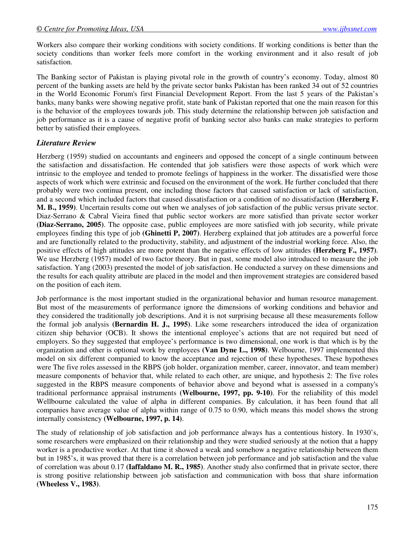Workers also compare their working conditions with society conditions. If working conditions is better than the society conditions than worker feels more comfort in the working environment and it also result of job satisfaction.

The Banking sector of Pakistan is playing pivotal role in the growth of country's economy. Today, almost 80 percent of the banking assets are held by the private sector banks Pakistan has been ranked 34 out of 52 countries in the World Economic Forum's first Financial Development Report. From the last 5 years of the Pakistan's banks, many banks were showing negative profit, state bank of Pakistan reported that one the main reason for this is the behavior of the employees towards job. This study determine the relationship between job satisfaction and job performance as it is a cause of negative profit of banking sector also banks can make strategies to perform better by satisfied their employees.

### *Literature Review*

Herzberg (1959) studied on accountants and engineers and opposed the concept of a single continuum between the satisfaction and dissatisfaction. He contended that job satisfiers were those aspects of work which were intrinsic to the employee and tended to promote feelings of happiness in the worker. The dissatisfied were those aspects of work which were extrinsic and focused on the environment of the work. He further concluded that there probably were two continua present, one including those factors that caused satisfaction or lack of satisfaction, and a second which included factors that caused dissatisfaction or a condition of no dissatisfaction **(Herzberg F. M. B., 1959)**. Uncertain results come out when we analyses of job satisfaction of the public versus private sector. Diaz-Serrano & Cabral Vieira fined that public sector workers are more satisfied than private sector worker **(Diaz-Serrano, 2005)**. The opposite case, public employees are more satisfied with job security, while private employees finding this type of job **(Ghinetti P, 2007)**. Herzberg explained that job attitudes are a powerful force and are functionally related to the productivity, stability, and adjustment of the industrial working force. Also, the positive effects of high attitudes are more potent than the negative effects of low attitudes **(Herzberg F., 1957)**. We use Herzberg (1957) model of two factor theory. But in past, some model also introduced to measure the job satisfaction. Yang (2003) presented the model of job satisfaction. He conducted a survey on these dimensions and the results for each quality attribute are placed in the model and then improvement strategies are considered based on the position of each item.

Job performance is the most important studied in the organizational behavior and human resource management. But most of the measurements of performance ignore the dimensions of working conditions and behavior and they considered the traditionally job descriptions. And it is not surprising because all these measurements follow the formal job analysis **(Bernardin H. J., 1995)**. Like some researchers introduced the idea of organization citizen ship behavior (OCB). It shows the intentional employee's actions that are not required but need of employers. So they suggested that employee's performance is two dimensional, one work is that which is by the organization and other is optional work by employees **(Van Dyne L., 1998)**. Welbourne, 1997 implemented this model on six different companied to know the acceptance and rejection of these hypotheses. These hypotheses were The five roles assessed in the RBPS (job holder, organization member, career, innovator, and team member) measure components of behavior that, while related to each other, are unique, and hypothesis 2: The five roles suggested in the RBPS measure components of behavior above and beyond what is assessed in a company's traditional performance appraisal instruments **(Welbourne, 1997, pp. 9-10)**. For the reliability of this model Wellbourne calculated the value of alpha in different companies. By calculation, it has been found that all companies have average value of alpha within range of 0.75 to 0.90, which means this model shows the strong internally consistency **(Welbourne, 1997, p. 14)**.

The study of relationship of job satisfaction and job performance always has a contentious history. In 1930's, some researchers were emphasized on their relationship and they were studied seriously at the notion that a happy worker is a productive worker. At that time it showed a weak and somehow a negative relationship between them but in 1985's, it was proved that there is a correlation between job performance and job satisfaction and the value of correlation was about 0.17 **(Iaffaldano M. R., 1985)**. Another study also confirmed that in private sector, there is strong positive relationship between job satisfaction and communication with boss that share information **(Wheeless V., 1983)**.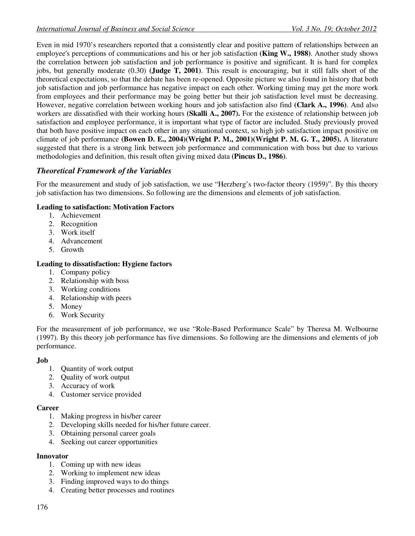Even in mid 1970's researchers reported that a consistently clear and positive pattern of relationships between an employee's perceptions of communications and his or her job satisfaction **(King W., 1988)**. Another study shows the correlation between job satisfaction and job performance is positive and significant. It is hard for complex jobs, but generally moderate (0.30) **(Judge T, 2001)**. This result is encouraging, but it still falls short of the theoretical expectations, so that the debate has been re-opened. Opposite picture we also found in history that both job satisfaction and job performance has negative impact on each other. Working timing may get the more work from employees and their performance may be going better but their job satisfaction level must be decreasing. However, negative correlation between working hours and job satisfaction also find **(Clark A., 1996)**. And also workers are dissatisfied with their working hours **(Skalli A., 2007).** For the existence of relationship between job satisfaction and employee performance, it is important what type of factor are included. Study previously proved that both have positive impact on each other in any situational context, so high job satisfaction impact positive on climate of job performance **(Bowen D. E., 2004)(Wright P. M., 2001)(Wright P. M. G. T., 2005).** A literature suggested that there is a strong link between job performance and communication with boss but due to various methodologies and definition, this result often giving mixed data **(Pincus D., 1986)**.

# *Theoretical Framework of the Variables*

For the measurement and study of job satisfaction, we use "Herzberg's two-factor theory (1959)". By this theory job satisfaction has two dimensions. So following are the dimensions and elements of job satisfaction.

### **Leading to satisfaction: Motivation Factors**

- 1. Achievement
- 2. Recognition
- 3. Work itself
- 4. Advancement
- 5. Growth

### **Leading to dissatisfaction: Hygiene factors**

- 1. Company policy
- 2. Relationship with boss
- 3. Working conditions
- 4. Relationship with peers
- 5. Money
- 6. Work Security

For the measurement of job performance, we use "Role-Based Performance Scale" by Theresa M. Welbourne (1997). By this theory job performance has five dimensions. So following are the dimensions and elements of job performance.

### **Job**

- 1. Quantity of work output
- 2. Quality of work output
- 3. Accuracy of work
- 4. Customer service provided

### **Career**

- 1. Making progress in his/her career
- 2. Developing skills needed for his/her future career.
- 3. Obtaining personal career goals
- 4. Seeking out career opportunities

### **Innovator**

- 1. Coming up with new ideas
- 2. Working to implement new ideas
- 3. Finding improved ways to do things
- 4. Creating better processes and routines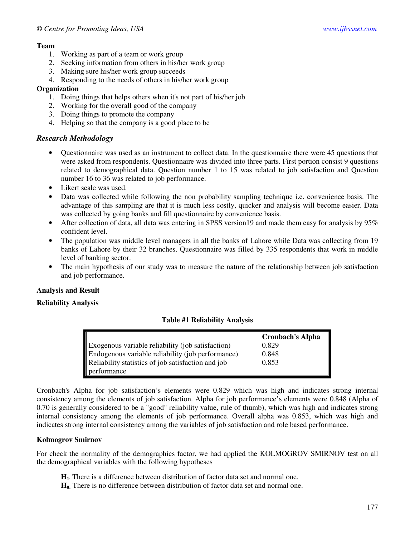### **Team**

- 1. Working as part of a team or work group
- 2. Seeking information from others in his/her work group
- 3. Making sure his/her work group succeeds
- 4. Responding to the needs of others in his/her work group

### **Organization**

- 1. Doing things that helps others when it's not part of his/her job
- 2. Working for the overall good of the company
- 3. Doing things to promote the company
- 4. Helping so that the company is a good place to be

# *Research Methodology*

- Questionnaire was used as an instrument to collect data. In the questionnaire there were 45 questions that were asked from respondents. Questionnaire was divided into three parts. First portion consist 9 questions related to demographical data. Question number 1 to 15 was related to job satisfaction and Question number 16 to 36 was related to job performance.
- Likert scale was used.
- Data was collected while following the non probability sampling technique i.e. convenience basis. The advantage of this sampling are that it is much less costly, quicker and analysis will become easier. Data was collected by going banks and fill questionnaire by convenience basis.
- After collection of data, all data was entering in SPSS version19 and made them easy for analysis by 95% confident level.
- The population was middle level managers in all the banks of Lahore while Data was collecting from 19 banks of Lahore by their 32 branches. Questionnaire was filled by 335 respondents that work in middle level of banking sector.
- The main hypothesis of our study was to measure the nature of the relationship between job satisfaction and job performance.

# **Analysis and Result**

### **Reliability Analysis**

### **Table #1 Reliability Analysis**

|                                                    | <b>Cronbach's Alpha</b> |
|----------------------------------------------------|-------------------------|
| Exogenous variable reliability (job satisfaction)  | 0.829                   |
| Endogenous variable reliability (job performance)  | 0.848                   |
| Reliability statistics of job satisfaction and job | 0.853                   |
| performance                                        |                         |

Cronbach's Alpha for job satisfaction's elements were 0.829 which was high and indicates strong internal consistency among the elements of job satisfaction. Alpha for job performance's elements were 0.848 (Alpha of 0.70 is generally considered to be a "good" reliability value, rule of thumb), which was high and indicates strong internal consistency among the elements of job performance. Overall alpha was 0.853, which was high and indicates strong internal consistency among the variables of job satisfaction and role based performance.

### **Kolmogrov Smirnov**

For check the normality of the demographics factor, we had applied the KOLMOGROV SMIRNOV test on all the demographical variables with the following hypotheses

- **H<sup>1</sup>**: There is a difference between distribution of factor data set and normal one.
- **H0:** There is no difference between distribution of factor data set and normal one.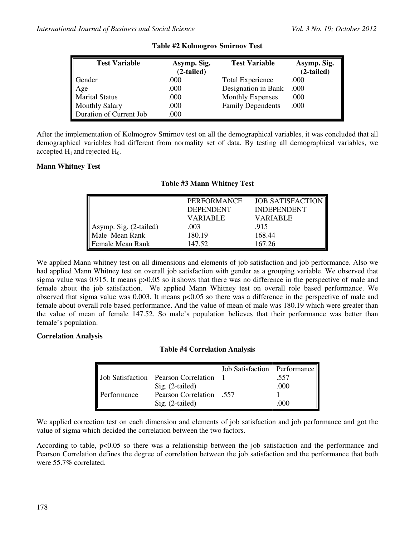| <b>Test Variable</b>    | Asymp. Sig.<br>$(2-tailed)$ | <b>Test Variable</b>     | Asymp. Sig.<br>$(2-tailed)$ |
|-------------------------|-----------------------------|--------------------------|-----------------------------|
| Gender                  | .000                        | <b>Total Experience</b>  | .000                        |
| Age                     | .000                        | Designation in Bank      | .000                        |
| <b>Marital Status</b>   | .000                        | <b>Monthly Expenses</b>  | .000                        |
| <b>Monthly Salary</b>   | .000                        | <b>Family Dependents</b> | .000                        |
| Duration of Current Job | .000                        |                          |                             |

**Table #2 Kolmogrov Smirnov Test** 

After the implementation of Kolmogrov Smirnov test on all the demographical variables, it was concluded that all demographical variables had different from normality set of data. By testing all demographical variables, we accepted  $H_1$  and rejected  $H_0$ .

#### **Mann Whitney Test**

|                        | <b>PERFORMANCE</b> | <b>JOB SATISFACTION</b> |
|------------------------|--------------------|-------------------------|
|                        | <b>DEPENDENT</b>   | <b>INDEPENDENT</b>      |
|                        | <b>VARIABLE</b>    | <b>VARIABLE</b>         |
| Asymp. Sig. (2-tailed) | .003               | .915                    |
| Male Mean Rank         | 180.19             | 168.44                  |
| Female Mean Rank       | 147.52             | 167.26                  |

#### **Table #3 Mann Whitney Test**

We applied Mann whitney test on all dimensions and elements of job satisfaction and job performance. Also we had applied Mann Whitney test on overall job satisfaction with gender as a grouping variable. We observed that sigma value was 0.915. It means  $p > 0.05$  so it shows that there was no difference in the perspective of male and female about the job satisfaction. We applied Mann Whitney test on overall role based performance. We observed that sigma value was 0.003. It means p<0.05 so there was a difference in the perspective of male and female about overall role based performance. And the value of mean of male was 180.19 which were greater than the value of mean of female 147.52. So male's population believes that their performance was better than female's population.

#### **Correlation Analysis**

### **Table #4 Correlation Analysis**

|             |                                             | Job Satisfaction Performance |      |
|-------------|---------------------------------------------|------------------------------|------|
|             | <b>Job Satisfaction</b> Pearson Correlation |                              | .557 |
|             | $Sig. (2-tailed)$                           |                              | .000 |
| Performance | <b>Pearson Correlation</b> .557             |                              |      |
|             | $Sig. (2-tailed)$                           |                              | 000  |

We applied correction test on each dimension and elements of job satisfaction and job performance and got the value of sigma which decided the correlation between the two factors.

According to table,  $p<0.05$  so there was a relationship between the job satisfaction and the performance and Pearson Correlation defines the degree of correlation between the job satisfaction and the performance that both were 55.7% correlated.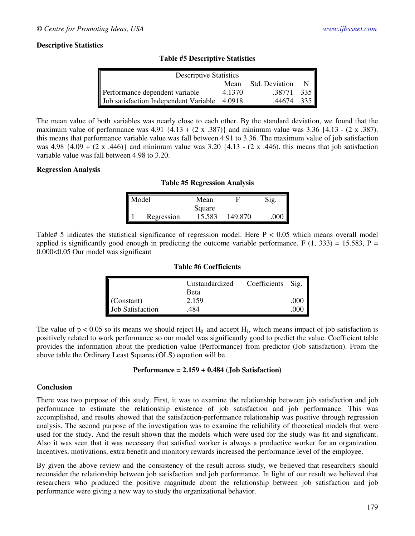### **Descriptive Statistics**

| <b>Descriptive Statistics</b>         |        |                |              |
|---------------------------------------|--------|----------------|--------------|
|                                       | Mean   | Std. Deviation | $\mathbb{N}$ |
| Performance dependent variable        | 4.1370 | .38771         | 335          |
| Job satisfaction Independent Variable | 4.0918 | .44674         | 335          |

**Table #5 Descriptive Statistics** 

The mean value of both variables was nearly close to each other. By the standard deviation, we found that the maximum value of performance was  $4.91\{4.13 + (2 \times .387)\}\$  and minimum value was  $3.36\{4.13 - (2 \times .387)\}\$ this means that performance variable value was fall between 4.91 to 3.36. The maximum value of job satisfaction was  $4.98 \{4.09 + (2 \times .446)\}\$  and minimum value was  $3.20 \{4.13 - (2 \times .446)\}\$  this means that job satisfaction variable value was fall between 4.98 to 3.20.

#### **Regression Analysis**

#### **Table #5 Regression Analysis**

| Model |            | Mean   |         | $\gamma$ ig. |
|-------|------------|--------|---------|--------------|
|       |            | Square |         |              |
|       | Regression | 15.583 | 149.870 |              |

Table# 5 indicates the statistical significance of regression model. Here  $P < 0.05$  which means overall model applied is significantly good enough in predicting the outcome variable performance. F  $(1, 333) = 15.583$ , P = 0.000<0.05 Our model was significant

#### **Table #6 Coefficients**

|                         | Unstandardized | Coefficients | Sig. |
|-------------------------|----------------|--------------|------|
|                         | <b>Beta</b>    |              |      |
| (Constant)              | 2.159          |              | .000 |
| <b>Job Satisfaction</b> | 484            |              |      |

The value of  $p < 0.05$  so its means we should reject  $H_0$  and accept  $H_1$ , which means impact of job satisfaction is positively related to work performance so our model was significantly good to predict the value. Coefficient table provides the information about the prediction value (Performance) from predictor (Job satisfaction). From the above table the Ordinary Least Squares (OLS) equation will be

#### **Performance = 2.159 + 0.484 (Job Satisfaction)**

#### **Conclusion**

There was two purpose of this study. First, it was to examine the relationship between job satisfaction and job performance to estimate the relationship existence of job satisfaction and job performance. This was accomplished, and results showed that the satisfaction-performance relationship was positive through regression analysis. The second purpose of the investigation was to examine the reliability of theoretical models that were used for the study. And the result shown that the models which were used for the study was fit and significant. Also it was seen that it was necessary that satisfied worker is always a productive worker for an organization. Incentives, motivations, extra benefit and monitory rewards increased the performance level of the employee.

By given the above review and the consistency of the result across study, we believed that researchers should reconsider the relationship between job satisfaction and job performance. In light of our result we believed that researchers who produced the positive magnitude about the relationship between job satisfaction and job performance were giving a new way to study the organizational behavior.